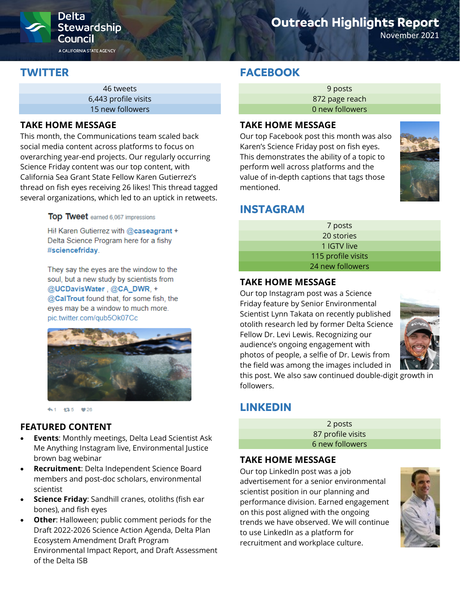

# **Outreach Highlights Report**

November 2021

# **TWITTER**

46 tweets 6,443 profile visits 15 new followers

#### **TAKE HOME MESSAGE**

This month, the Communications team scaled back social media content across platforms to focus on overarching year-end projects. Our regularly occurring Science Friday content was our top content, with California Sea Grant State Fellow Karen Gutierrez's thread on fish eyes receiving 26 likes! This thread tagged several organizations, which led to an uptick in retweets.

#### Top Tweet earned 6,067 impressions

Hi! Karen Gutierrez with @caseagrant + Delta Science Program here for a fishy #sciencefriday.

They say the eyes are the window to the soul, but a new study by scientists from @UCDavisWater, @CA\_DWR, + @CalTrout found that, for some fish, the eyes may be a window to much more. pic.twitter.com/qub5Ok07Cc



←1 13-5 ♥26

## **FEATURED CONTENT**

- **Events**: Monthly meetings, Delta Lead Scientist Ask Me Anything Instagram live, Environmental Justice brown bag webinar
- **Recruitment**: Delta Independent Science Board members and post-doc scholars, environmental scientist
- **Science Friday**: Sandhill cranes, otoliths (fish ear bones), and fish eyes
- **Other**: Halloween; public comment periods for the Draft 2022-2026 Science Action Agenda, Delta Plan Ecosystem Amendment Draft Program Environmental Impact Report, and Draft Assessment of the Delta ISB

# **FACEBOOK**

9 posts 872 page reach 0 new followers

#### **TAKE HOME MESSAGE**

Our top Facebook post this month was also Karen's Science Friday post on fish eyes. This demonstrates the ability of a topic to perform well across platforms and the value of in-depth captions that tags those mentioned.

# **INSTAGRAM**

| 7 posts            |  |
|--------------------|--|
| 20 stories         |  |
| 1 IGTV live        |  |
| 115 profile visits |  |
| 24 new followers   |  |
|                    |  |

### **TAKE HOME MESSAGE**

Our top Instagram post was a Science Friday feature by Senior Environmental Scientist Lynn Takata on recently published otolith research led by former Delta Science Fellow Dr. Levi Lewis. Recognizing our audience's ongoing engagement with photos of people, a selfie of Dr. Lewis from the field was among the images included in



this post. We also saw continued double-digit growth in followers.

# **LINKEDIN**

2 posts 87 profile visits 6 new followers

### **TAKE HOME MESSAGE**

Our top LinkedIn post was a job advertisement for a senior environmental scientist position in our planning and performance division. Earned engagement on this post aligned with the ongoing trends we have observed. We will continue to use LinkedIn as a platform for recruitment and workplace culture.